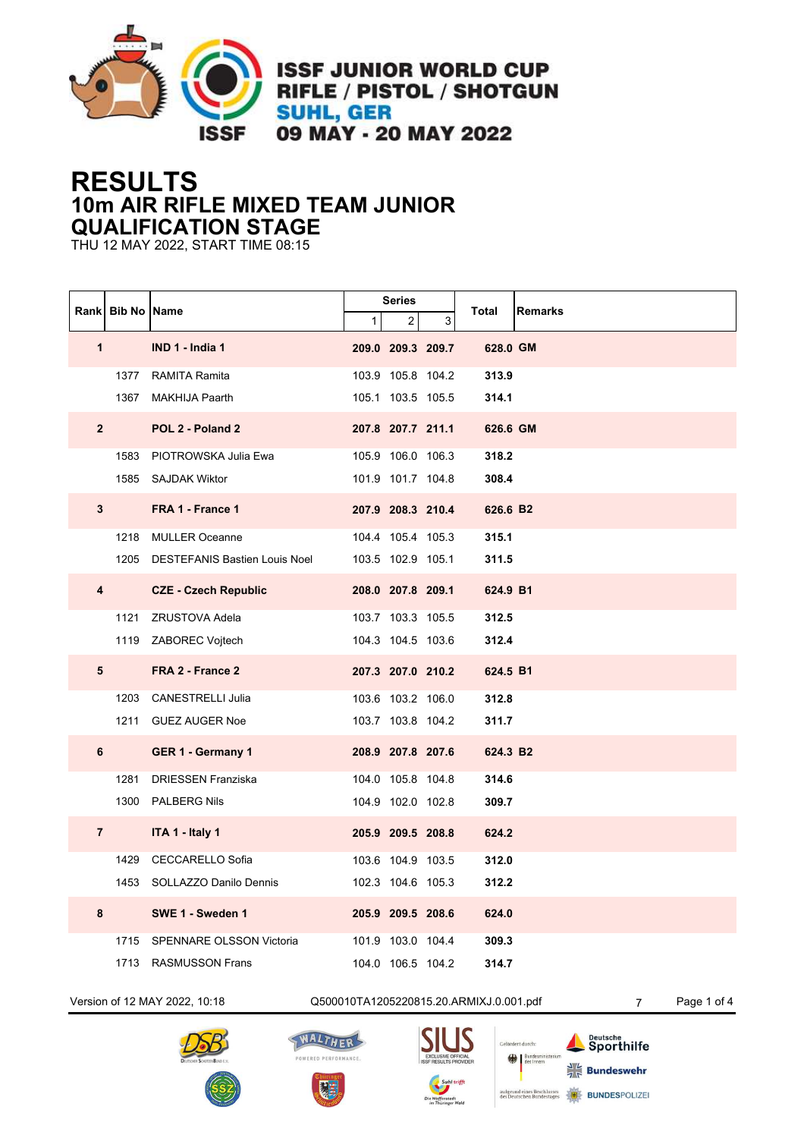

**ISSF JUNIOR WORLD CUP** RIFLE / PISTOL / SHOTGUN **SUHL, GER** 09 MAY - 20 MAY 2022

## **RESULTS 10m AIR RIFLE MIXED TEAM JUNIOR QUALIFICATION STAGE**

THU 12 MAY 2022, START TIME 08:15

|                         | <b>Rankl Bib No IName</b> |                                    | <b>Series</b> |                   |   |          |                |
|-------------------------|---------------------------|------------------------------------|---------------|-------------------|---|----------|----------------|
|                         |                           |                                    | $\mathbf{1}$  | 2 <sub>1</sub>    | 3 | Total    | <b>Remarks</b> |
| $\mathbf{1}$            |                           | IND 1 - India 1                    |               | 209.0 209.3 209.7 |   | 628.0 GM |                |
|                         |                           | 1377 RAMITA Ramita                 |               | 103.9 105.8 104.2 |   | 313.9    |                |
|                         |                           | 1367 MAKHIJA Paarth                |               | 105.1 103.5 105.5 |   | 314.1    |                |
|                         | $2^{\circ}$               | POL 2 - Poland 2                   |               | 207.8 207.7 211.1 |   | 626.6 GM |                |
|                         |                           | 1583 PIOTROWSKA Julia Ewa          |               | 105.9 106.0 106.3 |   | 318.2    |                |
|                         |                           | 1585 SAJDAK Wiktor                 |               | 101.9 101.7 104.8 |   | 308.4    |                |
| 3                       |                           | FRA 1 - France 1                   |               | 207.9 208.3 210.4 |   | 626.6 B2 |                |
|                         |                           | 1218 MULLER Oceanne                |               | 104.4 105.4 105.3 |   | 315.1    |                |
|                         |                           | 1205 DESTEFANIS Bastien Louis Noel |               | 103.5 102.9 105.1 |   | 311.5    |                |
| $\overline{\mathbf{4}}$ |                           | <b>CZE - Czech Republic</b>        |               | 208.0 207.8 209.1 |   | 624.9 B1 |                |
|                         |                           | 1121 ZRUSTOVA Adela                |               | 103.7 103.3 105.5 |   | 312.5    |                |
|                         |                           | 1119 ZABOREC Vojtech               |               | 104.3 104.5 103.6 |   | 312.4    |                |
| 5                       |                           | FRA 2 - France 2                   |               | 207.3 207.0 210.2 |   | 624.5 B1 |                |
|                         |                           | 1203 CANESTRELLI Julia             |               | 103.6 103.2 106.0 |   | 312.8    |                |
|                         |                           | 1211 GUEZ AUGER Noe                |               | 103.7 103.8 104.2 |   | 311.7    |                |
| 6                       |                           | GER 1 - Germany 1                  |               | 208.9 207.8 207.6 |   | 624.3 B2 |                |
|                         | 1281                      | <b>DRIESSEN Franziska</b>          |               | 104.0 105.8 104.8 |   | 314.6    |                |
|                         |                           | 1300 PALBERG Nils                  |               | 104.9 102.0 102.8 |   | 309.7    |                |
| $\overline{7}$          |                           | ITA 1 - Italy 1                    |               | 205.9 209.5 208.8 |   | 624.2    |                |
|                         |                           | 1429 CECCARELLO Sofia              |               | 103.6 104.9 103.5 |   | 312.0    |                |
|                         |                           | 1453 SOLLAZZO Danilo Dennis        |               | 102.3 104.6 105.3 |   | 312.2    |                |
| 8                       |                           | SWE 1 - Sweden 1                   |               | 205.9 209.5 208.6 |   | 624.0    |                |
|                         |                           | 1715 SPENNARE OLSSON Victoria      |               | 101.9 103.0 104.4 |   | 309.3    |                |
|                         |                           | 1713 RASMUSSON Frans               |               | 104.0 106.5 104.2 |   | 314.7    |                |

Version of 12 MAY 2022, 10:18 Q500010TA1205220815.20.ARMIXJ.0.001.pdf 7 Page 1 of 4









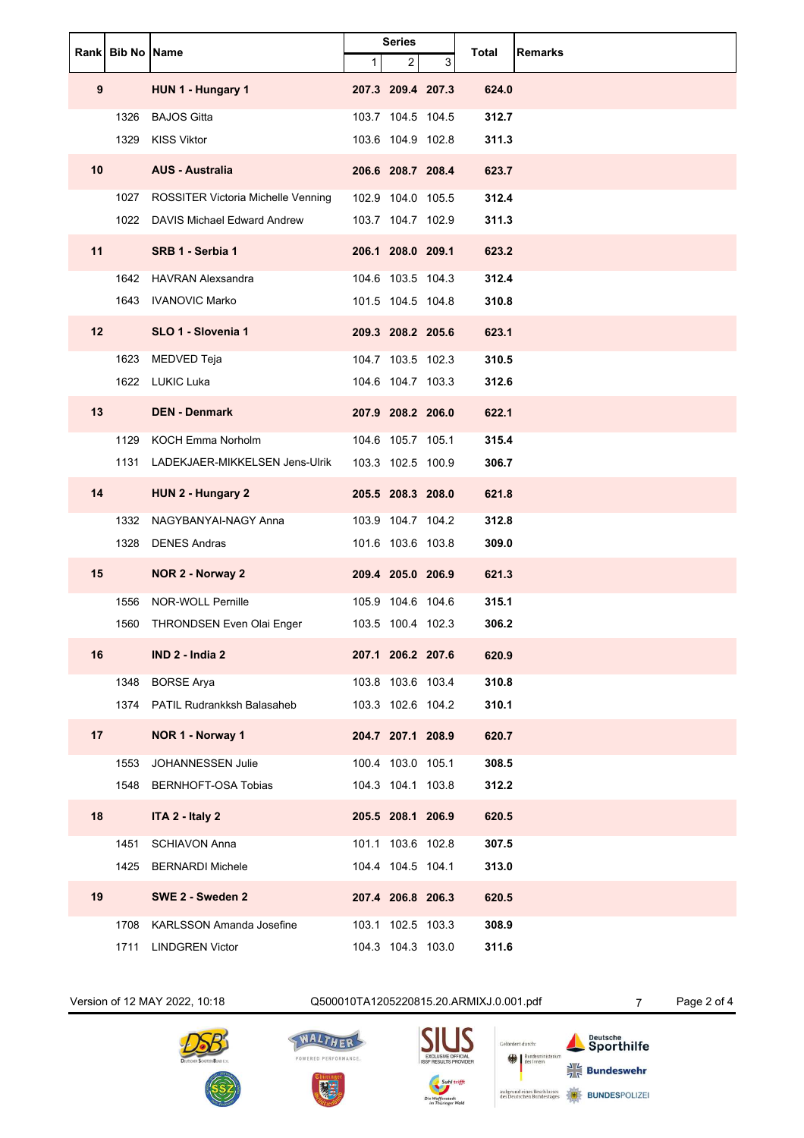|                 | Rank Bib No Name |                                     | $\mathbf{1}$ | <b>Series</b><br>$\overline{\mathbf{c}}$ | 3 | Total | <b>Remarks</b> |
|-----------------|------------------|-------------------------------------|--------------|------------------------------------------|---|-------|----------------|
| 9               |                  | HUN 1 - Hungary 1                   |              | 207.3 209.4 207.3                        |   | 624.0 |                |
|                 | 1326             | <b>BAJOS Gitta</b>                  |              | 103.7 104.5 104.5                        |   | 312.7 |                |
|                 | 1329             | <b>KISS Viktor</b>                  |              | 103.6 104.9 102.8                        |   | 311.3 |                |
| 10 <sup>°</sup> |                  | <b>AUS - Australia</b>              |              | 206.6 208.7 208.4                        |   | 623.7 |                |
|                 | 1027             | ROSSITER Victoria Michelle Venning  |              | 102.9 104.0 105.5                        |   | 312.4 |                |
|                 |                  | 1022 DAVIS Michael Edward Andrew    |              | 103.7 104.7 102.9                        |   | 311.3 |                |
| 11              |                  | SRB 1 - Serbia 1                    |              | 206.1 208.0 209.1                        |   | 623.2 |                |
|                 |                  | 1642 HAVRAN Alexsandra              |              | 104.6 103.5 104.3                        |   | 312.4 |                |
|                 |                  | 1643 IVANOVIC Marko                 |              | 101.5 104.5 104.8                        |   | 310.8 |                |
| 12              |                  | SLO 1 - Slovenia 1                  |              | 209.3 208.2 205.6                        |   | 623.1 |                |
|                 | 1623             | MEDVED Teja                         |              | 104.7 103.5 102.3                        |   | 310.5 |                |
|                 |                  | 1622 LUKIC Luka                     |              | 104.6 104.7 103.3                        |   | 312.6 |                |
| 13              |                  | <b>DEN - Denmark</b>                |              | 207.9 208.2 206.0                        |   | 622.1 |                |
|                 | 1129             | <b>KOCH Emma Norholm</b>            |              | 104.6 105.7 105.1                        |   | 315.4 |                |
|                 |                  | 1131 LADEKJAER-MIKKELSEN Jens-Ulrik |              | 103.3 102.5 100.9                        |   | 306.7 |                |
| 14              |                  | HUN 2 - Hungary 2                   |              | 205.5 208.3 208.0                        |   | 621.8 |                |
|                 | 1332             | NAGYBANYAI-NAGY Anna                |              | 103.9 104.7 104.2                        |   | 312.8 |                |
|                 | 1328             | <b>DENES Andras</b>                 |              | 101.6 103.6 103.8                        |   | 309.0 |                |
| 15              |                  | NOR 2 - Norway 2                    |              | 209.4 205.0 206.9                        |   | 621.3 |                |
|                 | 1556             | <b>NOR-WOLL Pernille</b>            |              | 105.9 104.6 104.6                        |   | 315.1 |                |
|                 | 1560             | THRONDSEN Even Olai Enger           |              | 103.5 100.4 102.3                        |   | 306.2 |                |
| 16              |                  | IND 2 - India 2                     |              | 207.1 206.2 207.6                        |   | 620.9 |                |
|                 | 1348             | <b>BORSE Arya</b>                   |              | 103.8 103.6 103.4                        |   | 310.8 |                |
|                 | 1374             | <b>PATIL Rudrankksh Balasaheb</b>   |              | 103.3 102.6 104.2                        |   | 310.1 |                |
| 17              |                  | NOR 1 - Norway 1                    |              | 204.7 207.1 208.9                        |   | 620.7 |                |
|                 | 1553             | JOHANNESSEN Julie                   |              | 100.4 103.0 105.1                        |   | 308.5 |                |
|                 | 1548             | BERNHOFT-OSA Tobias                 |              | 104.3 104.1 103.8                        |   | 312.2 |                |
| 18              |                  | ITA 2 - Italy 2                     |              | 205.5 208.1 206.9                        |   | 620.5 |                |
|                 | 1451             | <b>SCHIAVON Anna</b>                |              | 101.1 103.6 102.8                        |   | 307.5 |                |
|                 | 1425             | <b>BERNARDI Michele</b>             |              | 104.4 104.5 104.1                        |   | 313.0 |                |
| 19              |                  | SWE 2 - Sweden 2                    |              | 207.4 206.8 206.3                        |   | 620.5 |                |
|                 | 1708             | <b>KARLSSON Amanda Josefine</b>     |              | 103.1 102.5 103.3                        |   | 308.9 |                |
|                 | 1711             | <b>LINDGREN Victor</b>              |              | 104.3 104.3 103.0                        |   | 311.6 |                |

Version of 12 MAY 2022, 10:18 Q500010TA1205220815.20.ARMIXJ.0.001.pdf 7 Page 2 of 4





WALTHER

POWERED PERFORMANCE.

闭目

 $\boldsymbol{\mathsf{S}}$ 

Gefördert durch:

aufgrund eines Bes<br>des Deutschen Bun

Bundesmin

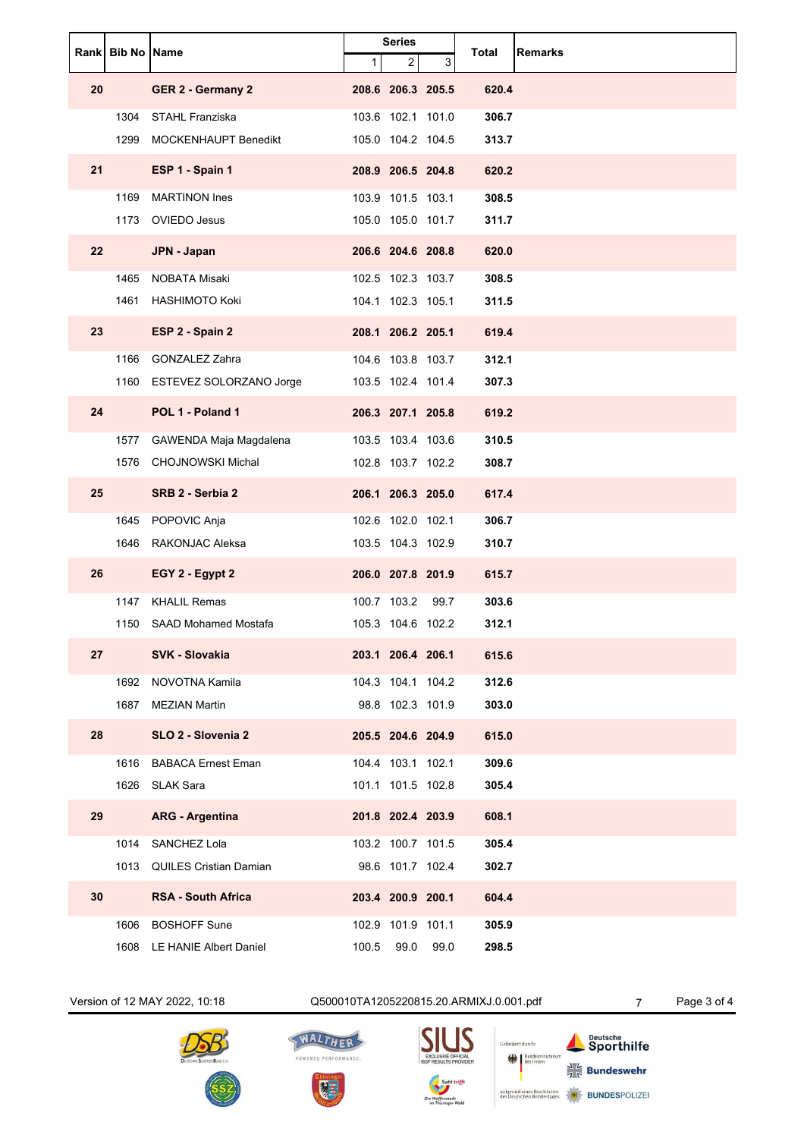|    | Rank Bib No Name |                               | <b>Series</b><br>3<br>$\mathbf{1}$<br>$\overline{\mathbf{c}}$ |                   | Total | <b>Remarks</b> |  |
|----|------------------|-------------------------------|---------------------------------------------------------------|-------------------|-------|----------------|--|
| 20 |                  | <b>GER 2 - Germany 2</b>      |                                                               | 208.6 206.3 205.5 |       | 620.4          |  |
|    | 1304             | <b>STAHL Franziska</b>        |                                                               | 103.6 102.1 101.0 |       | 306.7          |  |
|    | 1299             | MOCKENHAUPT Benedikt          |                                                               | 105.0 104.2 104.5 |       | 313.7          |  |
| 21 |                  | ESP 1 - Spain 1               |                                                               | 208.9 206.5 204.8 |       | 620.2          |  |
|    | 1169             | <b>MARTINON Ines</b>          |                                                               | 103.9 101.5 103.1 |       | 308.5          |  |
|    | 1173             | <b>OVIEDO Jesus</b>           |                                                               | 105.0 105.0 101.7 |       | 311.7          |  |
| 22 |                  | <b>JPN - Japan</b>            |                                                               | 206.6 204.6 208.8 |       | 620.0          |  |
|    | 1465             | <b>NOBATA Misaki</b>          |                                                               | 102.5 102.3 103.7 |       | 308.5          |  |
|    | 1461             | <b>HASHIMOTO Koki</b>         |                                                               | 104.1 102.3 105.1 |       | 311.5          |  |
| 23 |                  | ESP 2 - Spain 2               |                                                               | 208.1 206.2 205.1 |       | 619.4          |  |
|    | 1166             | <b>GONZALEZ Zahra</b>         |                                                               | 104.6 103.8 103.7 |       | 312.1          |  |
|    |                  | 1160 ESTEVEZ SOLORZANO Jorge  |                                                               | 103.5 102.4 101.4 |       | 307.3          |  |
| 24 |                  | POL 1 - Poland 1              |                                                               | 206.3 207.1 205.8 |       | 619.2          |  |
|    | 1577             | GAWENDA Maja Magdalena        |                                                               | 103.5 103.4 103.6 |       | 310.5          |  |
|    | 1576             | <b>CHOJNOWSKI Michal</b>      |                                                               | 102.8 103.7 102.2 |       | 308.7          |  |
| 25 |                  | SRB 2 - Serbia 2              |                                                               | 206.1 206.3 205.0 |       | 617.4          |  |
|    | 1645             | POPOVIC Anja                  |                                                               | 102.6 102.0 102.1 |       | 306.7          |  |
|    | 1646             | RAKONJAC Aleksa               |                                                               | 103.5 104.3 102.9 |       | 310.7          |  |
| 26 |                  | EGY 2 - Egypt 2               |                                                               | 206.0 207.8 201.9 |       | 615.7          |  |
|    | 1147             | <b>KHALIL Remas</b>           |                                                               | 100.7 103.2       | 99.7  | 303.6          |  |
|    | 1150             | SAAD Mohamed Mostafa          |                                                               | 105.3 104.6 102.2 |       | 312.1          |  |
| 27 |                  | <b>SVK - Slovakia</b>         |                                                               | 203.1 206.4 206.1 |       | 615.6          |  |
|    | 1692             | NOVOTNA Kamila                |                                                               | 104.3 104.1 104.2 |       | 312.6          |  |
|    | 1687             | <b>MEZIAN Martin</b>          |                                                               | 98.8 102.3 101.9  |       | 303.0          |  |
| 28 |                  | SLO 2 - Slovenia 2            |                                                               | 205.5 204.6 204.9 |       | 615.0          |  |
|    | 1616             | <b>BABACA Ernest Eman</b>     |                                                               | 104.4 103.1 102.1 |       | 309.6          |  |
|    |                  | 1626 SLAK Sara                |                                                               | 101.1 101.5 102.8 |       | 305.4          |  |
| 29 |                  | <b>ARG - Argentina</b>        |                                                               | 201.8 202.4 203.9 |       | 608.1          |  |
|    | 1014             | SANCHEZ Lola                  |                                                               | 103.2 100.7 101.5 |       | 305.4          |  |
|    | 1013             | <b>QUILES Cristian Damian</b> |                                                               | 98.6 101.7 102.4  |       | 302.7          |  |
| 30 |                  | <b>RSA - South Africa</b>     |                                                               | 203.4 200.9 200.1 |       | 604.4          |  |
|    | 1606             | <b>BOSHOFF Sune</b>           |                                                               | 102.9 101.9 101.1 |       | 305.9          |  |
|    |                  | 1608 LE HANIE Albert Daniel   | 100.5                                                         | 99.0              | 99.0  | 298.5          |  |





WALTHER

POWERED PERFORMANCE.

男王

 $\boldsymbol{\mathsf{S}}$ 

Gefördert durch:

aufgrund eines Bes<br>des Deutschen Bun

Bundesmin